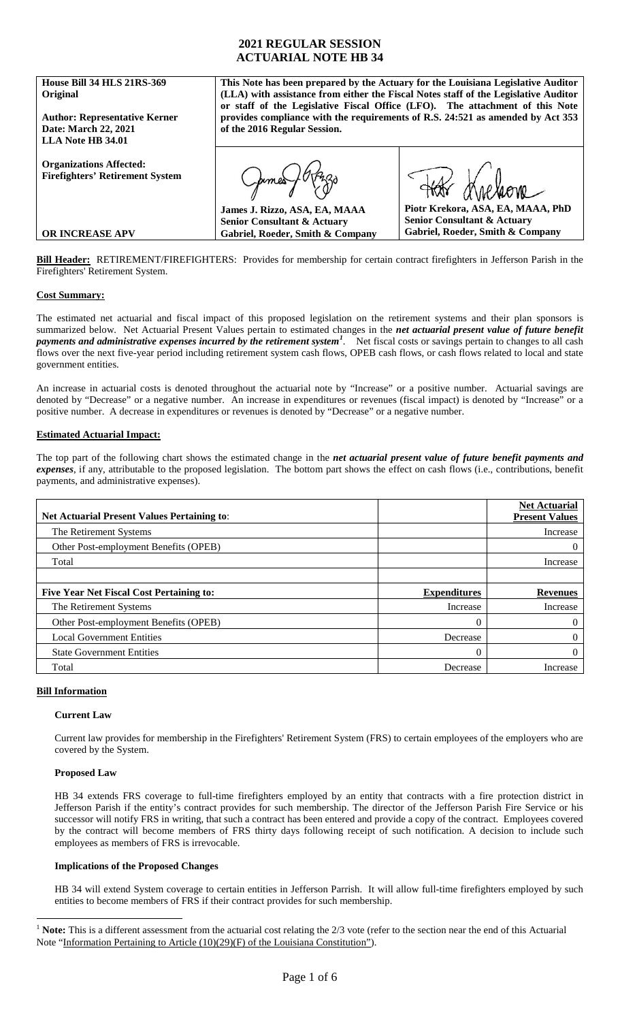**House Bill 34 HLS 21RS-369 Original**

**Author: Representative Kerner Date: March 22, 2021 LLA Note HB 34.01**

**Organizations Affected: Firefighters' Retirement System**

**This Note has been prepared by the Actuary for the Louisiana Legislative Auditor (LLA) with assistance from either the Fiscal Notes staff of the Legislative Auditor or staff of the Legislative Fiscal Office (LFO). The attachment of this Note provides compliance with the requirements of R.S. 24:521 as amended by Act 353 of the 2016 Regular Session.** 

**James J. Rizzo, ASA, EA, MAAA Senior Consultant & Actuary Gabriel, Roeder, Smith & Company**

**Piotr Krekora, ASA, EA, MAAA, PhD**

**Senior Consultant & Actuary Gabriel, Roeder, Smith & Company**

**Bill Header:** RETIREMENT/FIREFIGHTERS: Provides for membership for certain contract firefighters in Jefferson Parish in the Firefighters' Retirement System.

# **Cost Summary:**

**OR INCREASE APV**

The estimated net actuarial and fiscal impact of this proposed legislation on the retirement systems and their plan sponsors is summarized below. Net Actuarial Present Values pertain to estimated changes in the *net actuarial present value of future benefit payments and administrative expenses incurred by the retirement system[1](#page-0-0)* . Net fiscal costs or savings pertain to changes to all cash flows over the next five-year period including retirement system cash flows, OPEB cash flows, or cash flows related to local and state government entities.

An increase in actuarial costs is denoted throughout the actuarial note by "Increase" or a positive number. Actuarial savings are denoted by "Decrease" or a negative number. An increase in expenditures or revenues (fiscal impact) is denoted by "Increase" or a positive number. A decrease in expenditures or revenues is denoted by "Decrease" or a negative number.

# **Estimated Actuarial Impact:**

The top part of the following chart shows the estimated change in the *net actuarial present value of future benefit payments and expenses*, if any, attributable to the proposed legislation. The bottom part shows the effect on cash flows (i.e., contributions, benefit payments, and administrative expenses).

| <b>Net Actuarial Present Values Pertaining to:</b> |                     | <b>Net Actuarial</b><br><b>Present Values</b> |
|----------------------------------------------------|---------------------|-----------------------------------------------|
| The Retirement Systems                             |                     | Increase                                      |
| Other Post-employment Benefits (OPEB)              |                     | O                                             |
| Total                                              |                     | Increase                                      |
|                                                    |                     |                                               |
|                                                    |                     |                                               |
| <b>Five Year Net Fiscal Cost Pertaining to:</b>    | <b>Expenditures</b> | <b>Revenues</b>                               |
| The Retirement Systems                             | Increase            | Increase                                      |
| Other Post-employment Benefits (OPEB)              | $^{(1)}$            |                                               |
| <b>Local Government Entities</b>                   | Decrease            |                                               |
| <b>State Government Entities</b>                   | 0                   | 0                                             |

## **Bill Information**

## **Current Law**

Current law provides for membership in the Firefighters' Retirement System (FRS) to certain employees of the employers who are covered by the System.

## **Proposed Law**

HB 34 extends FRS coverage to full-time firefighters employed by an entity that contracts with a fire protection district in Jefferson Parish if the entity's contract provides for such membership. The director of the Jefferson Parish Fire Service or his successor will notify FRS in writing, that such a contract has been entered and provide a copy of the contract. Employees covered by the contract will become members of FRS thirty days following receipt of such notification. A decision to include such employees as members of FRS is irrevocable.

## **Implications of the Proposed Changes**

HB 34 will extend System coverage to certain entities in Jefferson Parrish. It will allow full-time firefighters employed by such entities to become members of FRS if their contract provides for such membership.

<span id="page-0-0"></span><sup>&</sup>lt;sup>1</sup> Note: This is a different assessment from the actuarial cost relating the 2/3 vote (refer to the section near the end of this Actuarial Note "Information Pertaining to Article (10)(29)(F) of the Louisiana Constitution").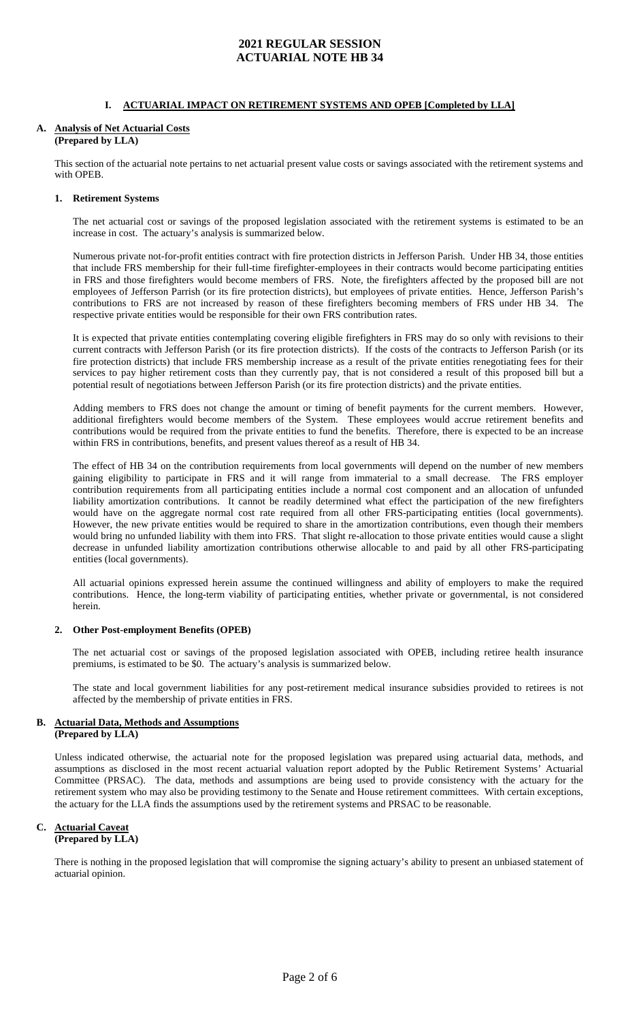### **I. ACTUARIAL IMPACT ON RETIREMENT SYSTEMS AND OPEB [Completed by LLA]**

#### **A. Analysis of Net Actuarial Costs (Prepared by LLA)**

This section of the actuarial note pertains to net actuarial present value costs or savings associated with the retirement systems and with OPEB.

#### **1. Retirement Systems**

The net actuarial cost or savings of the proposed legislation associated with the retirement systems is estimated to be an increase in cost. The actuary's analysis is summarized below.

Numerous private not-for-profit entities contract with fire protection districts in Jefferson Parish. Under HB 34, those entities that include FRS membership for their full-time firefighter-employees in their contracts would become participating entities in FRS and those firefighters would become members of FRS. Note, the firefighters affected by the proposed bill are not employees of Jefferson Parrish (or its fire protection districts), but employees of private entities. Hence, Jefferson Parish's contributions to FRS are not increased by reason of these firefighters becoming members of FRS under HB 34. The respective private entities would be responsible for their own FRS contribution rates.

It is expected that private entities contemplating covering eligible firefighters in FRS may do so only with revisions to their current contracts with Jefferson Parish (or its fire protection districts). If the costs of the contracts to Jefferson Parish (or its fire protection districts) that include FRS membership increase as a result of the private entities renegotiating fees for their services to pay higher retirement costs than they currently pay, that is not considered a result of this proposed bill but a potential result of negotiations between Jefferson Parish (or its fire protection districts) and the private entities.

Adding members to FRS does not change the amount or timing of benefit payments for the current members. However, additional firefighters would become members of the System. These employees would accrue retirement benefits and contributions would be required from the private entities to fund the benefits. Therefore, there is expected to be an increase within FRS in contributions, benefits, and present values thereof as a result of HB 34.

The effect of HB 34 on the contribution requirements from local governments will depend on the number of new members gaining eligibility to participate in FRS and it will range from immaterial to a small decrease. The FRS employer contribution requirements from all participating entities include a normal cost component and an allocation of unfunded liability amortization contributions. It cannot be readily determined what effect the participation of the new firefighters would have on the aggregate normal cost rate required from all other FRS-participating entities (local governments). However, the new private entities would be required to share in the amortization contributions, even though their members would bring no unfunded liability with them into FRS. That slight re-allocation to those private entities would cause a slight decrease in unfunded liability amortization contributions otherwise allocable to and paid by all other FRS-participating entities (local governments).

All actuarial opinions expressed herein assume the continued willingness and ability of employers to make the required contributions. Hence, the long-term viability of participating entities, whether private or governmental, is not considered herein.

#### **2. Other Post-employment Benefits (OPEB)**

The net actuarial cost or savings of the proposed legislation associated with OPEB, including retiree health insurance premiums, is estimated to be \$0. The actuary's analysis is summarized below.

The state and local government liabilities for any post-retirement medical insurance subsidies provided to retirees is not affected by the membership of private entities in FRS.

#### **B. Actuarial Data, Methods and Assumptions (Prepared by LLA)**

Unless indicated otherwise, the actuarial note for the proposed legislation was prepared using actuarial data, methods, and assumptions as disclosed in the most recent actuarial valuation report adopted by the Public Retirement Systems' Actuarial Committee (PRSAC). The data, methods and assumptions are being used to provide consistency with the actuary for the retirement system who may also be providing testimony to the Senate and House retirement committees. With certain exceptions, the actuary for the LLA finds the assumptions used by the retirement systems and PRSAC to be reasonable.

#### **C. Actuarial Caveat (Prepared by LLA)**

There is nothing in the proposed legislation that will compromise the signing actuary's ability to present an unbiased statement of actuarial opinion.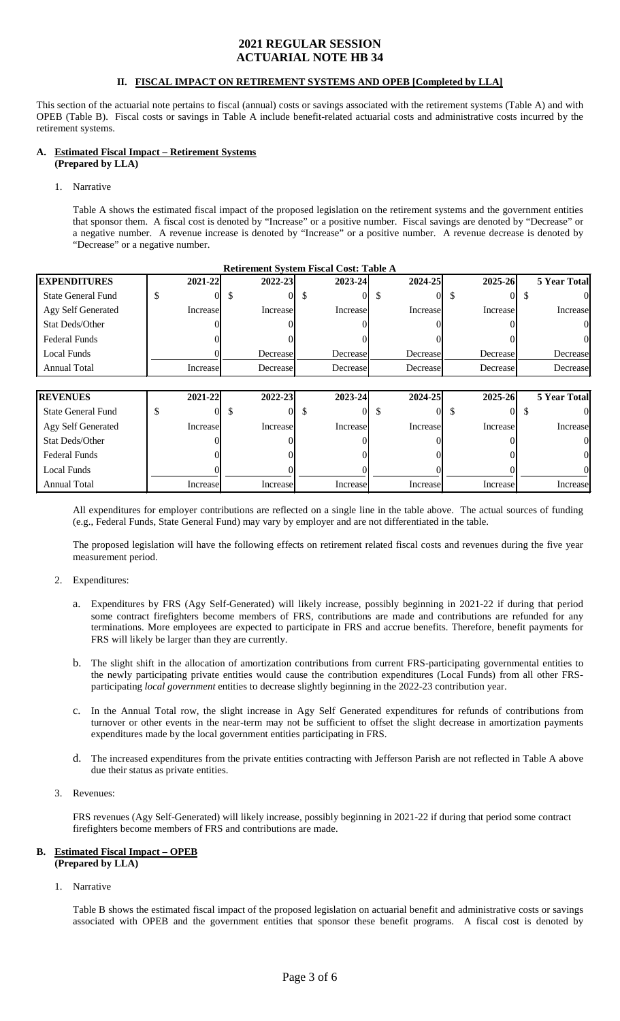## **II. FISCAL IMPACT ON RETIREMENT SYSTEMS AND OPEB [Completed by LLA]**

This section of the actuarial note pertains to fiscal (annual) costs or savings associated with the retirement systems (Table A) and with OPEB (Table B). Fiscal costs or savings in Table A include benefit-related actuarial costs and administrative costs incurred by the retirement systems.

#### **A. Estimated Fiscal Impact – Retirement Systems (Prepared by LLA)**

- 1. Narrative
	- Table A shows the estimated fiscal impact of the proposed legislation on the retirement systems and the government entities that sponsor them. A fiscal cost is denoted by "Increase" or a positive number. Fiscal savings are denoted by "Decrease" or a negative number. A revenue increase is denoted by "Increase" or a positive number. A revenue decrease is denoted by "Decrease" or a negative number.

|                      |          |          | <b>Retirement System Fiscal Cost: Table A</b> |          |          |                     |
|----------------------|----------|----------|-----------------------------------------------|----------|----------|---------------------|
| <b>EXPENDITURES</b>  | 2021-22  | 2022-23  | 2023-24                                       | 2024-25  | 2025-26  | <b>5 Year Total</b> |
| State General Fund   | \$       |          |                                               |          |          |                     |
| Agy Self Generated   | Increase | Increase | Increase                                      | Increase | Increase | Increase            |
| Stat Deds/Other      |          |          |                                               |          |          | $\Omega$            |
| <b>Federal Funds</b> |          |          |                                               |          |          | ΟI                  |
| Local Funds          |          | Decrease | Decrease                                      | Decrease | Decrease | Decrease            |
| Annual Total         | Increase | Decrease | Decrease                                      | Decrease | Decrease | Decrease            |
|                      |          |          |                                               |          |          |                     |
| <b>REVENUES</b>      | 2021-22  | 2022-23  | 2023-24                                       | 2024-25  | 2025-26  | <b>5 Year Total</b> |
| State General Fund   | \$       |          | S.                                            |          |          | $^{\prime}$         |
| Agy Self Generated   | Increase | Increase | Increase                                      | Increase | Increase | Increase            |
| Stat Deds/Other      |          |          |                                               |          |          | $\Omega$            |
| <b>Federal Funds</b> |          |          |                                               |          |          | ΩI                  |
| Local Funds          |          |          |                                               |          |          |                     |
| <b>Annual Total</b>  | Increase | Increase | Increase                                      | Increase | Increase | Increase            |

All expenditures for employer contributions are reflected on a single line in the table above. The actual sources of funding (e.g., Federal Funds, State General Fund) may vary by employer and are not differentiated in the table.

The proposed legislation will have the following effects on retirement related fiscal costs and revenues during the five year measurement period.

- 2. Expenditures:
	- a. Expenditures by FRS (Agy Self-Generated) will likely increase, possibly beginning in 2021-22 if during that period some contract firefighters become members of FRS, contributions are made and contributions are refunded for any terminations. More employees are expected to participate in FRS and accrue benefits. Therefore, benefit payments for FRS will likely be larger than they are currently.
	- b. The slight shift in the allocation of amortization contributions from current FRS-participating governmental entities to the newly participating private entities would cause the contribution expenditures (Local Funds) from all other FRSparticipating *local government* entities to decrease slightly beginning in the 2022-23 contribution year.
	- c. In the Annual Total row, the slight increase in Agy Self Generated expenditures for refunds of contributions from turnover or other events in the near-term may not be sufficient to offset the slight decrease in amortization payments expenditures made by the local government entities participating in FRS.
	- The increased expenditures from the private entities contracting with Jefferson Parish are not reflected in Table A above due their status as private entities.
- 3. Revenues:

FRS revenues (Agy Self-Generated) will likely increase, possibly beginning in 2021-22 if during that period some contract firefighters become members of FRS and contributions are made.

#### **B. Estimated Fiscal Impact – OPEB (Prepared by LLA)**

1. Narrative

Table B shows the estimated fiscal impact of the proposed legislation on actuarial benefit and administrative costs or savings associated with OPEB and the government entities that sponsor these benefit programs. A fiscal cost is denoted by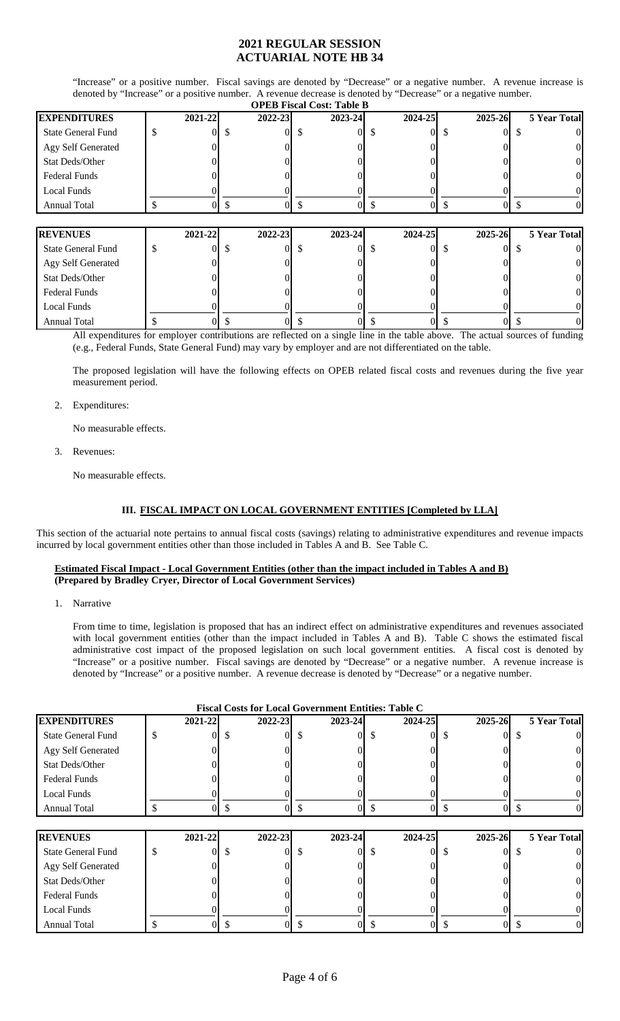"Increase" or a positive number. Fiscal savings are denoted by "Decrease" or a negative number. A revenue increase is denoted by "Increase" or a positive number. A revenue decrease is denoted by "Decrease" or a negative number.

| <b>OPEB Fiscal Cost: Table B</b> |             |             |             |         |             |                     |  |
|----------------------------------|-------------|-------------|-------------|---------|-------------|---------------------|--|
| <b>EXPENDITURES</b>              | $2021 - 22$ | $2022 - 23$ | $2023 - 24$ | 2024-25 | $2025 - 26$ | <b>5 Year Total</b> |  |
| <b>State General Fund</b>        |             | ОL          | OI.         | OL      |             |                     |  |
| Agy Self Generated               |             |             |             |         |             |                     |  |
| Stat Deds/Other                  |             |             |             |         |             |                     |  |
| <b>Federal Funds</b>             |             |             |             |         |             |                     |  |
| Local Funds                      |             |             |             |         |             |                     |  |
| <b>Annual Total</b>              |             | ОI          |             | v       | IJ          |                     |  |

| <b>REVENUES</b>           | 2021-22 | $2022 - 23$         | 2023-24 | 2024-25 | $2025 - 26$ | <b>5 Year Total</b> |
|---------------------------|---------|---------------------|---------|---------|-------------|---------------------|
| <b>State General Fund</b> | Эl      | $\overline{0}$<br>D | $_{0}$  | υı      |             |                     |
| Agy Self Generated        |         |                     |         |         |             |                     |
| Stat Deds/Other           |         |                     |         |         |             |                     |
| Federal Funds             |         |                     |         |         |             |                     |
| Local Funds               |         |                     |         |         |             |                     |
| <b>Annual Total</b>       |         | 01                  |         |         |             |                     |

All expenditures for employer contributions are reflected on a single line in the table above. The actual sources of funding (e.g., Federal Funds, State General Fund) may vary by employer and are not differentiated on the table.

The proposed legislation will have the following effects on OPEB related fiscal costs and revenues during the five year measurement period.

2. Expenditures:

No measurable effects.

3. Revenues:

No measurable effects.

## **III. FISCAL IMPACT ON LOCAL GOVERNMENT ENTITIES [Completed by LLA]**

This section of the actuarial note pertains to annual fiscal costs (savings) relating to administrative expenditures and revenue impacts incurred by local government entities other than those included in Tables A and B. See Table C.

#### **Estimated Fiscal Impact - Local Government Entities (other than the impact included in Tables A and B) (Prepared by Bradley Cryer, Director of Local Government Services)**

1. Narrative

From time to time, legislation is proposed that has an indirect effect on administrative expenditures and revenues associated with local government entities (other than the impact included in Tables A and B).Table C shows the estimated fiscal administrative cost impact of the proposed legislation on such local government entities. A fiscal cost is denoted by "Increase" or a positive number. Fiscal savings are denoted by "Decrease" or a negative number. A revenue increase is denoted by "Increase" or a positive number. A revenue decrease is denoted by "Decrease" or a negative number.

|                           |         |         | <b>Fiscal Costs for Local Government Entities: Table C</b> |         |         |                     |
|---------------------------|---------|---------|------------------------------------------------------------|---------|---------|---------------------|
| <b>EXPENDITURES</b>       | 2021-22 | 2022-23 | 2023-24                                                    | 2024-25 | 2025-26 | <b>5 Year Total</b> |
| <b>State General Fund</b> | \$      |         |                                                            |         |         |                     |
| Agy Self Generated        |         |         |                                                            |         |         |                     |
| Stat Deds/Other           |         |         |                                                            |         |         |                     |
| <b>Federal Funds</b>      |         |         |                                                            |         |         |                     |
| <b>Local Funds</b>        |         |         |                                                            |         |         |                     |
| Annual Total              | \$      |         | $\Omega$                                                   | ΩI      |         |                     |
|                           |         |         |                                                            |         |         |                     |
| <b>REVENUES</b>           | 2021-22 | 2022-23 | 2023-24                                                    | 2024-25 | 2025-26 | <b>5 Year Total</b> |
| <b>State General Fund</b> | \$      |         |                                                            |         |         |                     |
| Agy Self Generated        |         |         |                                                            |         |         |                     |
| Stat Deds/Other           |         |         |                                                            |         |         |                     |
| Federal Funds             |         |         |                                                            |         |         |                     |
| <b>Local Funds</b>        |         |         |                                                            |         |         |                     |
| <b>Annual Total</b>       |         |         |                                                            |         |         |                     |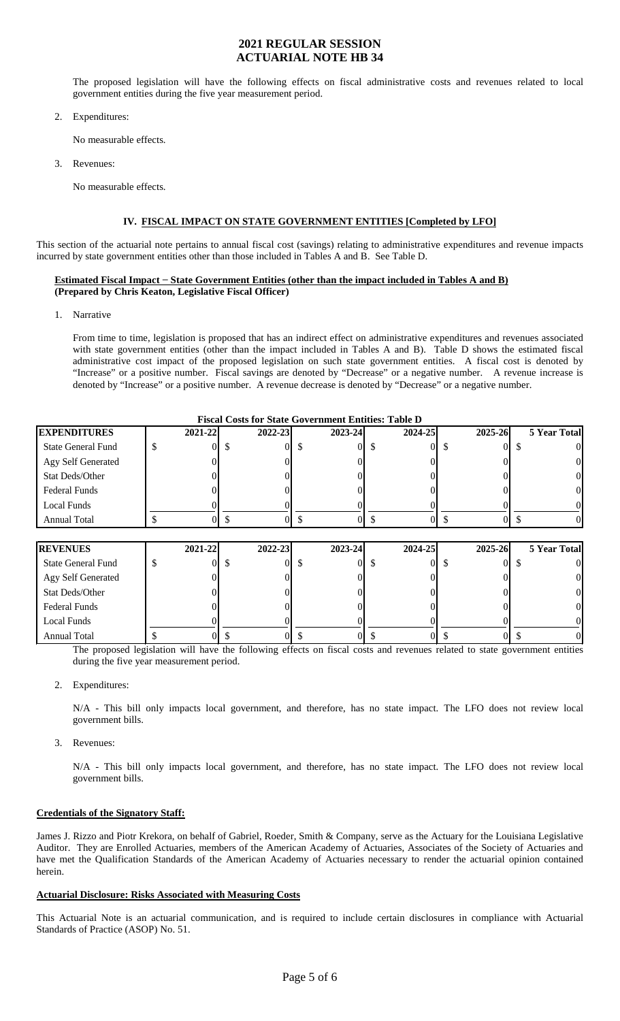The proposed legislation will have the following effects on fiscal administrative costs and revenues related to local government entities during the five year measurement period.

2. Expenditures:

No measurable effects.

3. Revenues:

No measurable effects.

### **IV. FISCAL IMPACT ON STATE GOVERNMENT ENTITIES [Completed by LFO]**

This section of the actuarial note pertains to annual fiscal cost (savings) relating to administrative expenditures and revenue impacts incurred by state government entities other than those included in Tables A and B. See Table D.

#### **Estimated Fiscal Impact − State Government Entities (other than the impact included in Tables A and B) (Prepared by Chris Keaton, Legislative Fiscal Officer)**

1. Narrative

From time to time, legislation is proposed that has an indirect effect on administrative expenditures and revenues associated with state government entities (other than the impact included in Tables A and B).Table D shows the estimated fiscal administrative cost impact of the proposed legislation on such state government entities. A fiscal cost is denoted by "Increase" or a positive number. Fiscal savings are denoted by "Decrease" or a negative number. A revenue increase is denoted by "Increase" or a positive number. A revenue decrease is denoted by "Decrease" or a negative number.

|                           |         | <b>Fiscal Costs for State Government Entities: Table D</b> |         |             |             |                     |
|---------------------------|---------|------------------------------------------------------------|---------|-------------|-------------|---------------------|
| <b>EXPENDITURES</b>       | 2021-22 | $2022 - 23$                                                | 2023-24 | 2024-25     | 2025-26     | <b>5 Year Total</b> |
| <b>State General Fund</b> | \$      |                                                            |         |             |             |                     |
| Agy Self Generated        |         |                                                            |         |             |             |                     |
| Stat Deds/Other           |         |                                                            |         |             |             |                     |
| Federal Funds             |         |                                                            |         |             |             |                     |
| Local Funds               |         |                                                            |         |             |             |                     |
| Annual Total              |         |                                                            |         |             |             |                     |
|                           |         |                                                            |         |             |             |                     |
| <b>REVENUES</b>           | 2021-22 | 2022-23                                                    | 2023-24 | $2024 - 25$ | $2025 - 26$ | <b>5 Year Total</b> |
| <b>State General Fund</b> |         |                                                            |         |             |             |                     |

| <b>IKEVENUES</b>          | 2021-221 | 2022-231 | 2023-241    | 2024-251 | 2023-201 | 5 Year Total |
|---------------------------|----------|----------|-------------|----------|----------|--------------|
| <b>State General Fund</b> |          |          | OI.         |          |          |              |
| Agy Self Generated        |          |          |             |          |          |              |
| Stat Deds/Other           |          |          |             |          |          |              |
| Federal Funds             |          |          |             |          |          |              |
| Local Funds               |          |          |             |          |          |              |
| Annual Total              |          |          | $^{\rm{O}}$ |          |          |              |

The proposed legislation will have the following effects on fiscal costs and revenues related to state government entities during the five year measurement period.

2. Expenditures:

N/A - This bill only impacts local government, and therefore, has no state impact. The LFO does not review local government bills.

3. Revenues:

N/A - This bill only impacts local government, and therefore, has no state impact. The LFO does not review local government bills.

## **Credentials of the Signatory Staff:**

James J. Rizzo and Piotr Krekora, on behalf of Gabriel, Roeder, Smith & Company, serve as the Actuary for the Louisiana Legislative Auditor. They are Enrolled Actuaries, members of the American Academy of Actuaries, Associates of the Society of Actuaries and have met the Qualification Standards of the American Academy of Actuaries necessary to render the actuarial opinion contained herein.

### **Actuarial Disclosure: Risks Associated with Measuring Costs**

This Actuarial Note is an actuarial communication, and is required to include certain disclosures in compliance with Actuarial Standards of Practice (ASOP) No. 51.